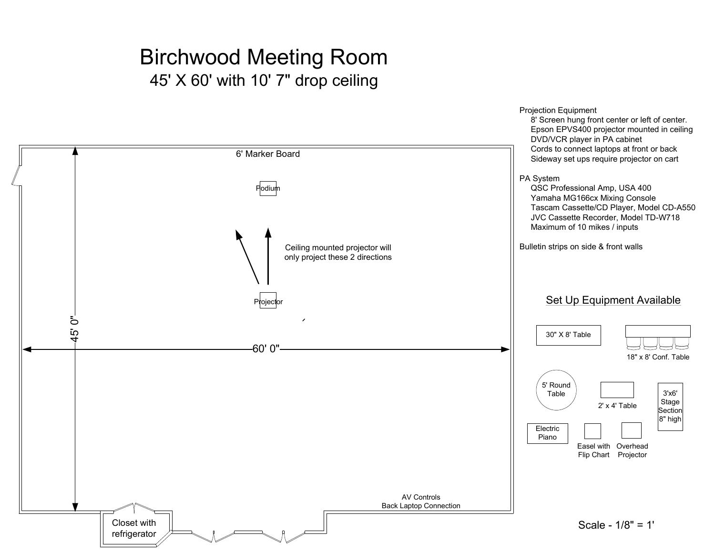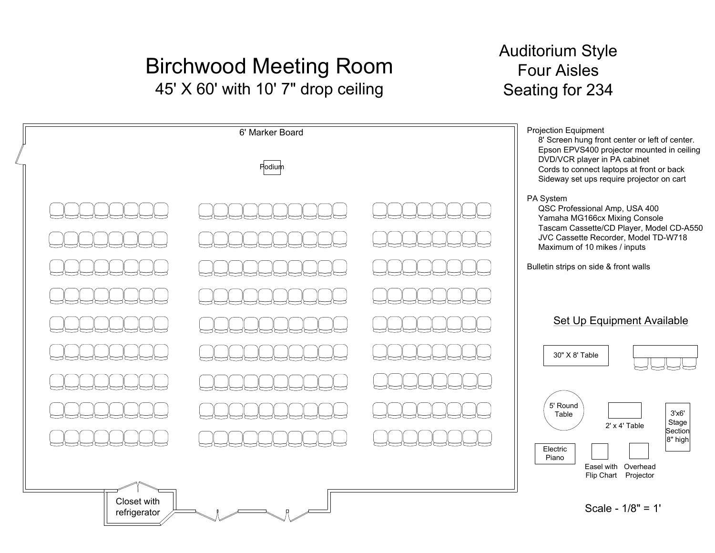Closet with refrigerator

### Auditorium StyleFour AislesSeating for 234

| 6' Marker Board<br>Podium |  |  | Projection Equipment<br>8' Screen hung front center or left of center.<br>Epson EPVS400 projector mounted in ceiling<br>DVD/VCR player in PA cabinet<br>Cords to connect laptops at front or back<br>Sideway set ups require projector on cart |
|---------------------------|--|--|------------------------------------------------------------------------------------------------------------------------------------------------------------------------------------------------------------------------------------------------|
|                           |  |  | PA System<br>QSC Professional Amp, USA 400<br>Yamaha MG166cx Mixing Console<br>Tascam Cassette/CD Player, Model CD-A550<br>JVC Cassette Recorder, Model TD-W718<br>Maximum of 10 mikes / inputs<br>Bulletin strips on side & front walls       |
|                           |  |  | <b>Set Up Equipment Available</b><br>30" X 8' Table                                                                                                                                                                                            |
|                           |  |  | 5' Round<br>3'x6'<br>Table<br>Stage<br>$2'$ x 4' Table<br>Section<br>$ 8"$ high<br>Electric<br>Piano<br>Easel with Overhead                                                                                                                    |

Flip Chart Projector

Scale - 1/8" = 1'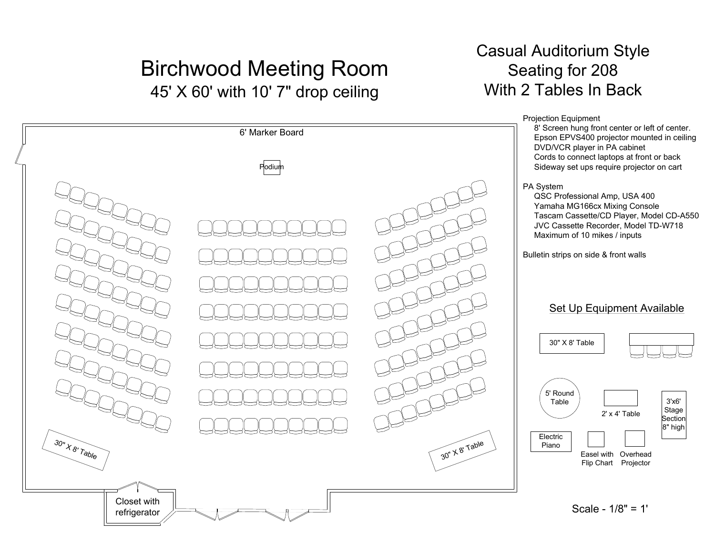### Casual Auditorium StyleSeating for 208With 2 Tables In Back

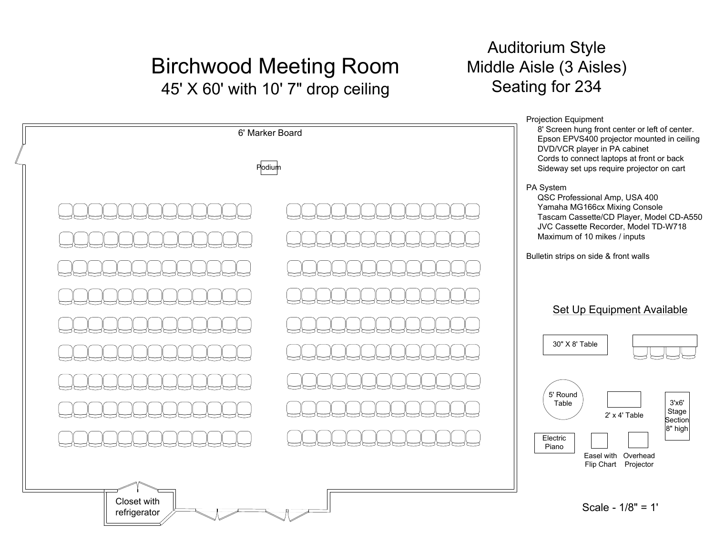#### Auditorium Style Middle Aisle (3 Aisles)Seating for 234

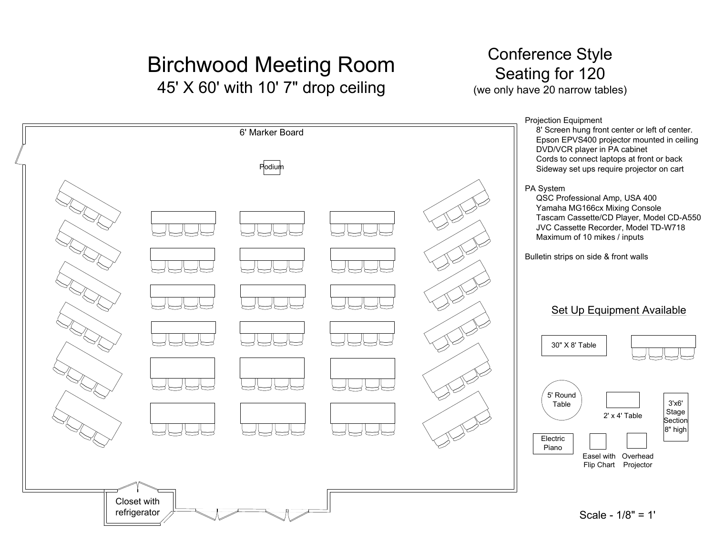#### Conference Style Seating for 120(we only have 20 narrow tables)

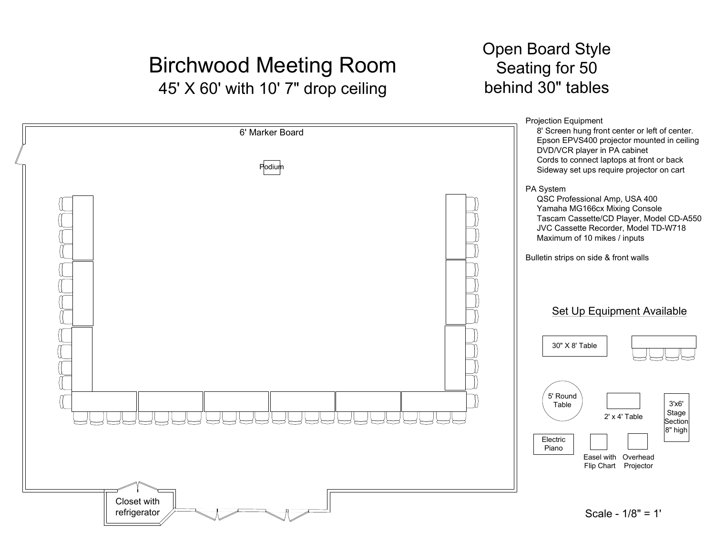#### Open Board StyleSeating for 50behind 30" tables

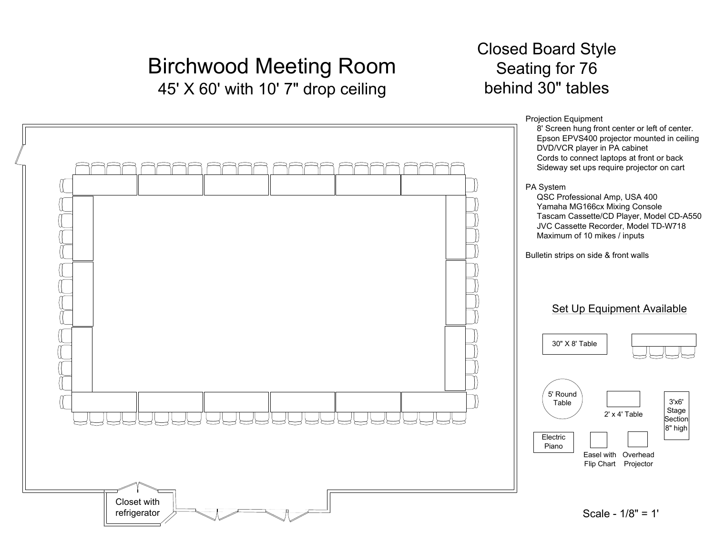### Closed Board StyleSeating for 76behind 30" tables

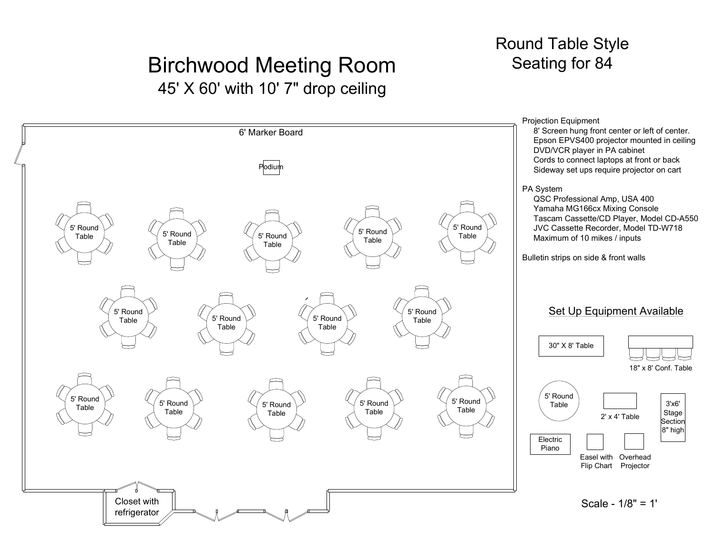#### Round Table StyleSeating for 84

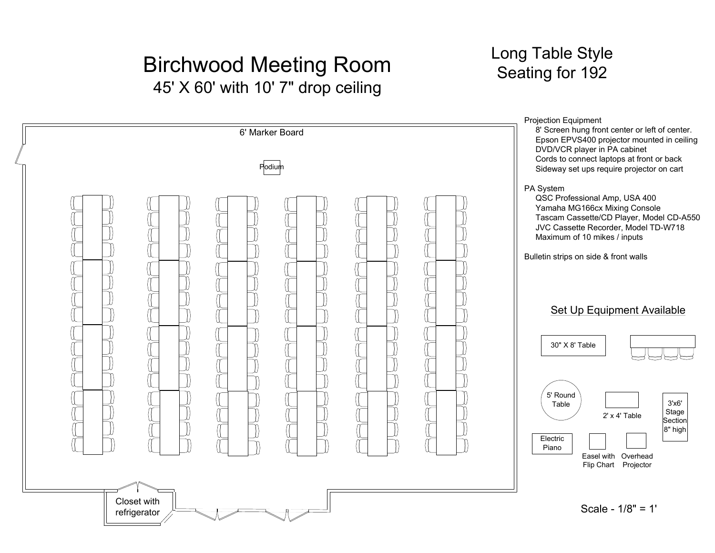Closet with refrigerator

### Long Table StyleSeating for 192

**Podium** 6' Marker BoardSet Up Equipment Available30" X 8' Table5' Round TableElectric Piano2' x 4' TableEasel with Overhead Flip Chart Projector 3'x6' Stage Section 8" highProjection Equipment 8' Screen hung front center or left of center. Epson EPVS400 projector mounted in ceilingDVD/VCR player in PA cabinet Cords to connect laptops at front or back Sideway set ups require projector on cartPA System QSC Professional Amp, USA 400 Yamaha MG166cx Mixing Console Tascam Cassette/CD Player, Model CD-A550JVC Cassette Recorder, Model TD-W718Maximum of 10 mikes / inputsBulletin strips on side & front walls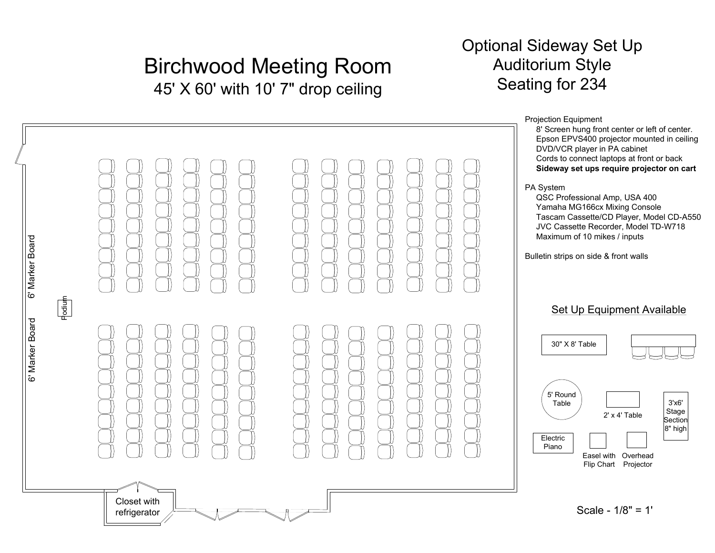### Optional Sideway Set UpAuditorium StyleSeating for 234

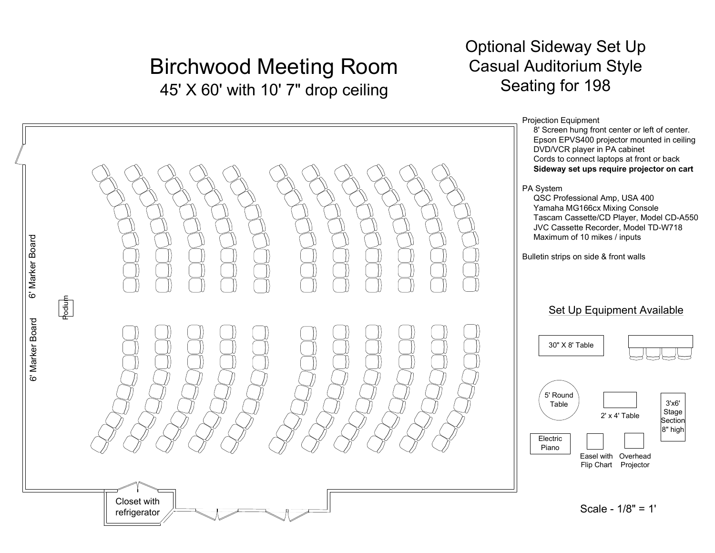### Optional Sideway Set Up Casual Auditorium StyleSeating for 198

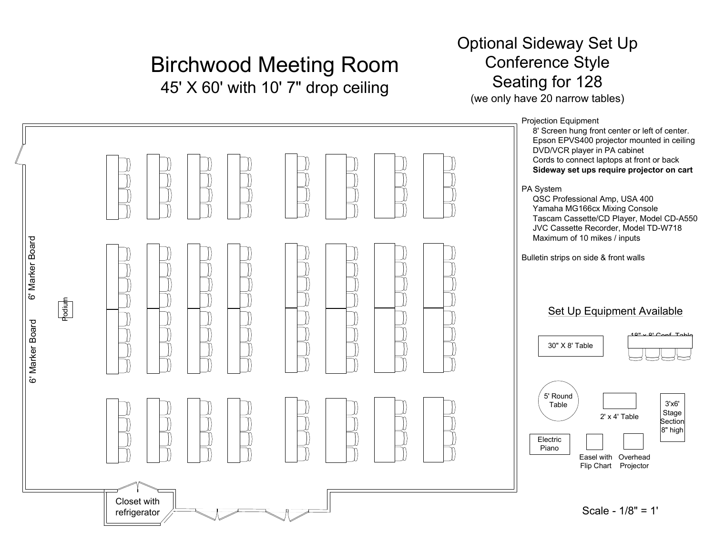### Optional Sideway Set UpConference StyleSeating for 128

(we only have 20 narrow tables)

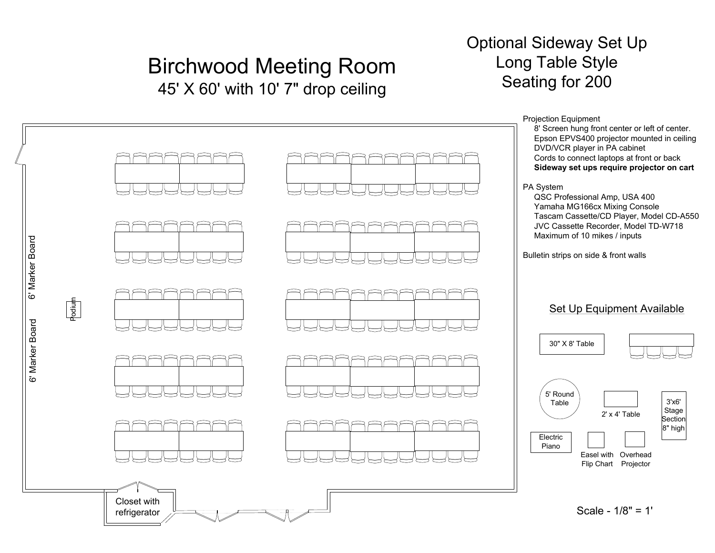#### Optional Sideway Set UpLong Table StyleSeating for 200